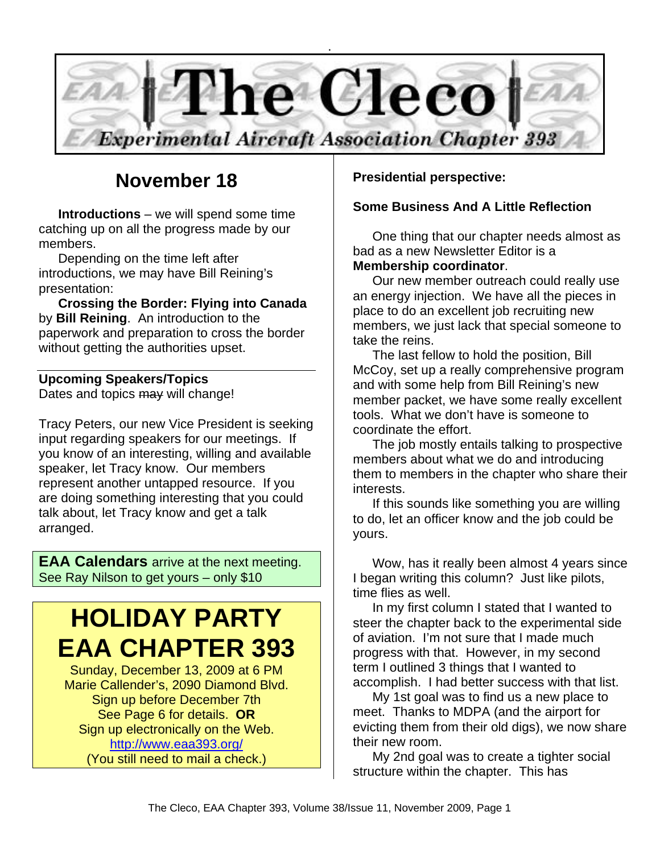

### **November 18**

**Introductions** – we will spend some time catching up on all the progress made by our members.

Depending on the time left after introductions, we may have Bill Reining's presentation:

**Crossing the Border: Flying into Canada** by **Bill Reining**. An introduction to the paperwork and preparation to cross the border without getting the authorities upset.

### **Upcoming Speakers/Topics**

Dates and topics may will change!

Tracy Peters, our new Vice President is seeking input regarding speakers for our meetings. If you know of an interesting, willing and available speaker, let Tracy know. Our members represent another untapped resource. If you are doing something interesting that you could talk about, let Tracy know and get a talk arranged.

**EAA Calendars** arrive at the next meeting. See Ray Nilson to get yours – only \$10

# **HOLIDAY PARTY EAA CHAPTER 393**

Sunday, December 13, 2009 at 6 PM Marie Callender's, 2090 Diamond Blvd. Sign up before December 7th See Page 6 for details. **OR** Sign up electronically on the Web. http://www.eaa393.org/ (You still need to mail a check.)

**Presidential perspective:**

#### **Some Business And A Little Reflection**

One thing that our chapter needs almost as bad as a new Newsletter Editor is a **Membership coordinator**.

Our new member outreach could really use an energy injection. We have all the pieces in place to do an excellent job recruiting new members, we just lack that special someone to take the reins.

The last fellow to hold the position, Bill McCoy, set up a really comprehensive program and with some help from Bill Reining's new member packet, we have some really excellent tools. What we don't have is someone to coordinate the effort.

The job mostly entails talking to prospective members about what we do and introducing them to members in the chapter who share their interests.

If this sounds like something you are willing to do, let an officer know and the job could be yours.

Wow, has it really been almost 4 years since I began writing this column? Just like pilots, time flies as well.

In my first column I stated that I wanted to steer the chapter back to the experimental side of aviation. I'm not sure that I made much progress with that. However, in my second term I outlined 3 things that I wanted to accomplish. I had better success with that list.

My 1st goal was to find us a new place to meet. Thanks to MDPA (and the airport for evicting them from their old digs), we now share their new room.

My 2nd goal was to create a tighter social structure within the chapter. This has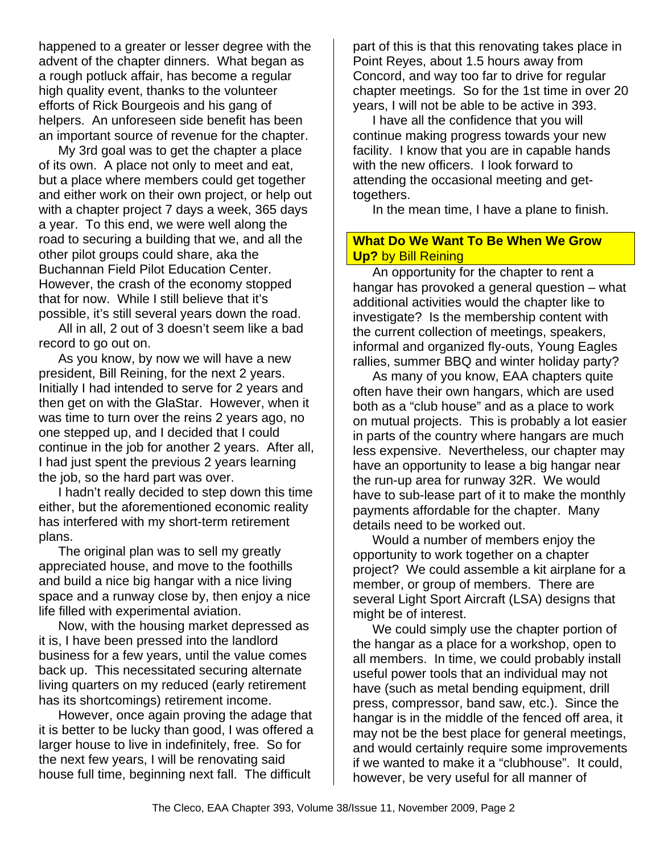happened to a greater or lesser degree with the advent of the chapter dinners. What began as a rough potluck affair, has become a regular high quality event, thanks to the volunteer efforts of Rick Bourgeois and his gang of helpers. An unforeseen side benefit has been an important source of revenue for the chapter.

My 3rd goal was to get the chapter a place of its own. A place not only to meet and eat, but a place where members could get together and either work on their own project, or help out with a chapter project 7 days a week, 365 days a year. To this end, we were well along the road to securing a building that we, and all the other pilot groups could share, aka the Buchannan Field Pilot Education Center. However, the crash of the economy stopped that for now. While I still believe that it's possible, it's still several years down the road.

All in all, 2 out of 3 doesn't seem like a bad record to go out on.

As you know, by now we will have a new president, Bill Reining, for the next 2 years. Initially I had intended to serve for 2 years and then get on with the GlaStar. However, when it was time to turn over the reins 2 years ago, no one stepped up, and I decided that I could continue in the job for another 2 years. After all, I had just spent the previous 2 years learning the job, so the hard part was over.

I hadn't really decided to step down this time either, but the aforementioned economic reality has interfered with my short-term retirement plans.

The original plan was to sell my greatly appreciated house, and move to the foothills and build a nice big hangar with a nice living space and a runway close by, then enjoy a nice life filled with experimental aviation.

Now, with the housing market depressed as it is, I have been pressed into the landlord business for a few years, until the value comes back up. This necessitated securing alternate living quarters on my reduced (early retirement has its shortcomings) retirement income.

However, once again proving the adage that it is better to be lucky than good, I was offered a larger house to live in indefinitely, free. So for the next few years, I will be renovating said house full time, beginning next fall. The difficult

part of this is that this renovating takes place in Point Reyes, about 1.5 hours away from Concord, and way too far to drive for regular chapter meetings. So for the 1st time in over 20 years, I will not be able to be active in 393.

I have all the confidence that you will continue making progress towards your new facility. I know that you are in capable hands with the new officers. I look forward to attending the occasional meeting and gettogethers.

In the mean time, I have a plane to finish.

#### **What Do We Want To Be When We Grow Up?** by Bill Reining

An opportunity for the chapter to rent a hangar has provoked a general question – what additional activities would the chapter like to investigate? Is the membership content with the current collection of meetings, speakers, informal and organized fly-outs, Young Eagles rallies, summer BBQ and winter holiday party?

As many of you know, EAA chapters quite often have their own hangars, which are used both as a "club house" and as a place to work on mutual projects. This is probably a lot easier in parts of the country where hangars are much less expensive. Nevertheless, our chapter may have an opportunity to lease a big hangar near the run-up area for runway 32R. We would have to sub-lease part of it to make the monthly payments affordable for the chapter. Many details need to be worked out.

Would a number of members enjoy the opportunity to work together on a chapter project? We could assemble a kit airplane for a member, or group of members. There are several Light Sport Aircraft (LSA) designs that might be of interest.

We could simply use the chapter portion of the hangar as a place for a workshop, open to all members. In time, we could probably install useful power tools that an individual may not have (such as metal bending equipment, drill press, compressor, band saw, etc.). Since the hangar is in the middle of the fenced off area, it may not be the best place for general meetings, and would certainly require some improvements if we wanted to make it a "clubhouse". It could, however, be very useful for all manner of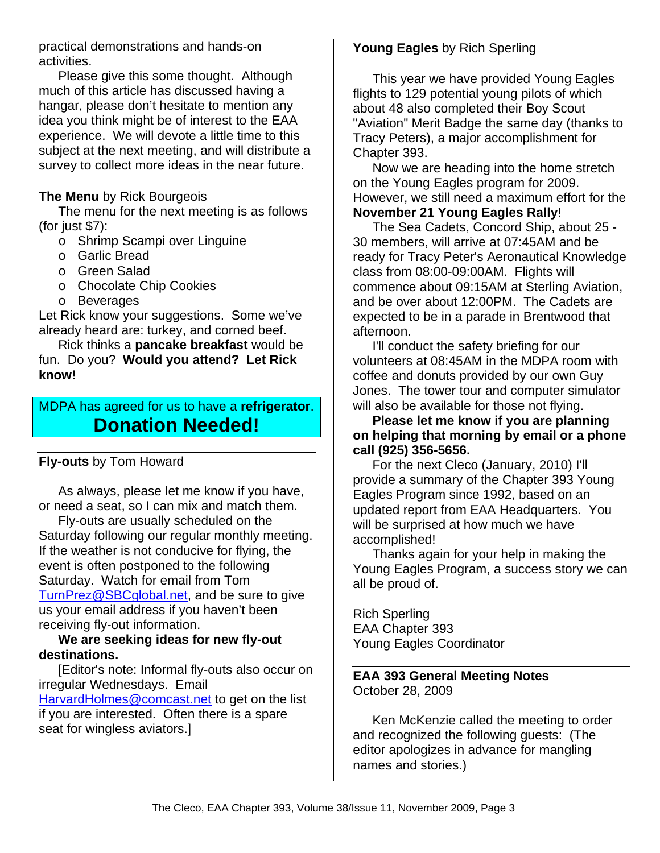practical demonstrations and hands-on activities.

Please give this some thought. Although much of this article has discussed having a hangar, please don't hesitate to mention any idea you think might be of interest to the EAA experience. We will devote a little time to this subject at the next meeting, and will distribute a survey to collect more ideas in the near future.

#### **The Menu** by Rick Bourgeois

The menu for the next meeting is as follows (for just \$7):

- o Shrimp Scampi over Linguine
- o Garlic Bread
- o Green Salad
- o Chocolate Chip Cookies
- o Beverages

Let Rick know your suggestions. Some we've already heard are: turkey, and corned beef.

Rick thinks a **pancake breakfast** would be fun. Do you? **Would you attend? Let Rick know!** 

MDPA has agreed for us to have a **refrigerator**. **Donation Needed!** 

#### **Fly-outs** by Tom Howard

As always, please let me know if you have, or need a seat, so I can mix and match them.

Fly-outs are usually scheduled on the Saturday following our regular monthly meeting. If the weather is not conducive for flying, the event is often postponed to the following Saturday. Watch for email from Tom TurnPrez@SBCglobal.net, and be sure to give us your email address if you haven't been receiving fly-out information.

#### **We are seeking ideas for new fly-out destinations.**

[Editor's note: Informal fly-outs also occur on irregular Wednesdays. Email HarvardHolmes@comcast.net to get on the list if you are interested. Often there is a spare seat for wingless aviators.]

### **Young Eagles** by Rich Sperling

This year we have provided Young Eagles flights to 129 potential young pilots of which about 48 also completed their Boy Scout "Aviation" Merit Badge the same day (thanks to Tracy Peters), a major accomplishment for Chapter 393.

Now we are heading into the home stretch on the Young Eagles program for 2009. However, we still need a maximum effort for the **November 21 Young Eagles Rally**!

The Sea Cadets, Concord Ship, about 25 - 30 members, will arrive at 07:45AM and be ready for Tracy Peter's Aeronautical Knowledge class from 08:00-09:00AM. Flights will commence about 09:15AM at Sterling Aviation, and be over about 12:00PM. The Cadets are expected to be in a parade in Brentwood that afternoon.

I'll conduct the safety briefing for our volunteers at 08:45AM in the MDPA room with coffee and donuts provided by our own Guy Jones. The tower tour and computer simulator will also be available for those not flying.

**Please let me know if you are planning on helping that morning by email or a phone call (925) 356-5656.** 

For the next Cleco (January, 2010) I'll provide a summary of the Chapter 393 Young Eagles Program since 1992, based on an updated report from EAA Headquarters. You will be surprised at how much we have accomplished!

Thanks again for your help in making the Young Eagles Program, a success story we can all be proud of.

Rich Sperling EAA Chapter 393 Young Eagles Coordinator

#### **EAA 393 General Meeting Notes**  October 28, 2009

Ken McKenzie called the meeting to order and recognized the following guests: (The editor apologizes in advance for mangling names and stories.)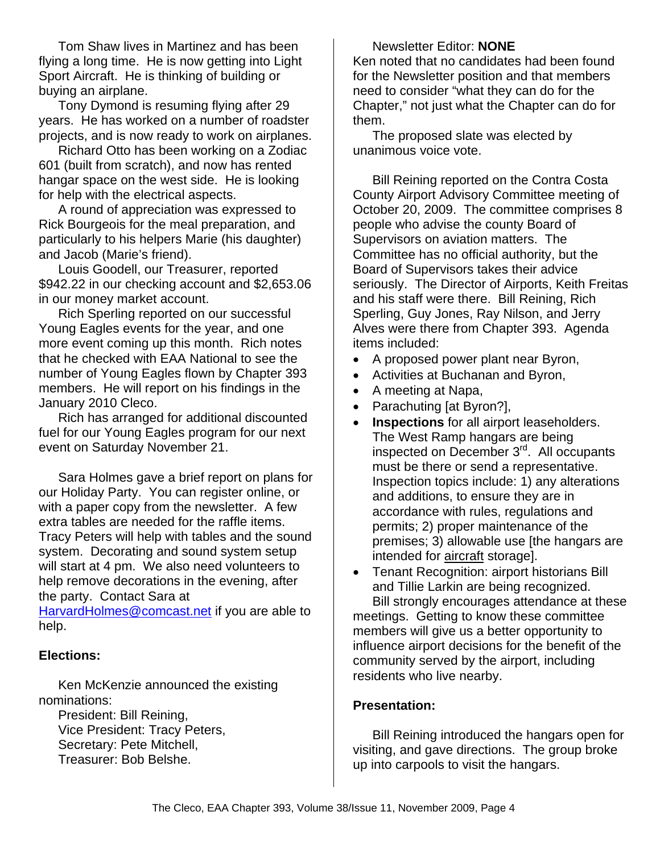Tom Shaw lives in Martinez and has been flying a long time. He is now getting into Light Sport Aircraft. He is thinking of building or buying an airplane.

Tony Dymond is resuming flying after 29 years. He has worked on a number of roadster projects, and is now ready to work on airplanes.

Richard Otto has been working on a Zodiac 601 (built from scratch), and now has rented hangar space on the west side. He is looking for help with the electrical aspects.

A round of appreciation was expressed to Rick Bourgeois for the meal preparation, and particularly to his helpers Marie (his daughter) and Jacob (Marie's friend).

Louis Goodell, our Treasurer, reported \$942.22 in our checking account and \$2,653.06 in our money market account.

Rich Sperling reported on our successful Young Eagles events for the year, and one more event coming up this month. Rich notes that he checked with EAA National to see the number of Young Eagles flown by Chapter 393 members. He will report on his findings in the January 2010 Cleco.

Rich has arranged for additional discounted fuel for our Young Eagles program for our next event on Saturday November 21.

Sara Holmes gave a brief report on plans for our Holiday Party. You can register online, or with a paper copy from the newsletter. A few extra tables are needed for the raffle items. Tracy Peters will help with tables and the sound system. Decorating and sound system setup will start at 4 pm. We also need volunteers to help remove decorations in the evening, after the party. Contact Sara at

HarvardHolmes@comcast.net if you are able to help.

#### **Elections:**

Ken McKenzie announced the existing nominations:

President: Bill Reining, Vice President: Tracy Peters, Secretary: Pete Mitchell, Treasurer: Bob Belshe.

Newsletter Editor: **NONE** Ken noted that no candidates had been found for the Newsletter position and that members need to consider "what they can do for the Chapter," not just what the Chapter can do for them.

The proposed slate was elected by unanimous voice vote.

Bill Reining reported on the Contra Costa County Airport Advisory Committee meeting of October 20, 2009. The committee comprises 8 people who advise the county Board of Supervisors on aviation matters. The Committee has no official authority, but the Board of Supervisors takes their advice seriously. The Director of Airports, Keith Freitas and his staff were there. Bill Reining, Rich Sperling, Guy Jones, Ray Nilson, and Jerry Alves were there from Chapter 393. Agenda items included:

- A proposed power plant near Byron,
- Activities at Buchanan and Byron,
- A meeting at Napa,
- Parachuting [at Byron?],
- **Inspections** for all airport leaseholders. The West Ramp hangars are being inspected on December 3rd. All occupants must be there or send a representative. Inspection topics include: 1) any alterations and additions, to ensure they are in accordance with rules, regulations and permits; 2) proper maintenance of the premises; 3) allowable use [the hangars are intended for aircraft storage].
- Tenant Recognition: airport historians Bill and Tillie Larkin are being recognized. Bill strongly encourages attendance at these

meetings. Getting to know these committee members will give us a better opportunity to influence airport decisions for the benefit of the community served by the airport, including residents who live nearby.

#### **Presentation:**

Bill Reining introduced the hangars open for visiting, and gave directions. The group broke up into carpools to visit the hangars.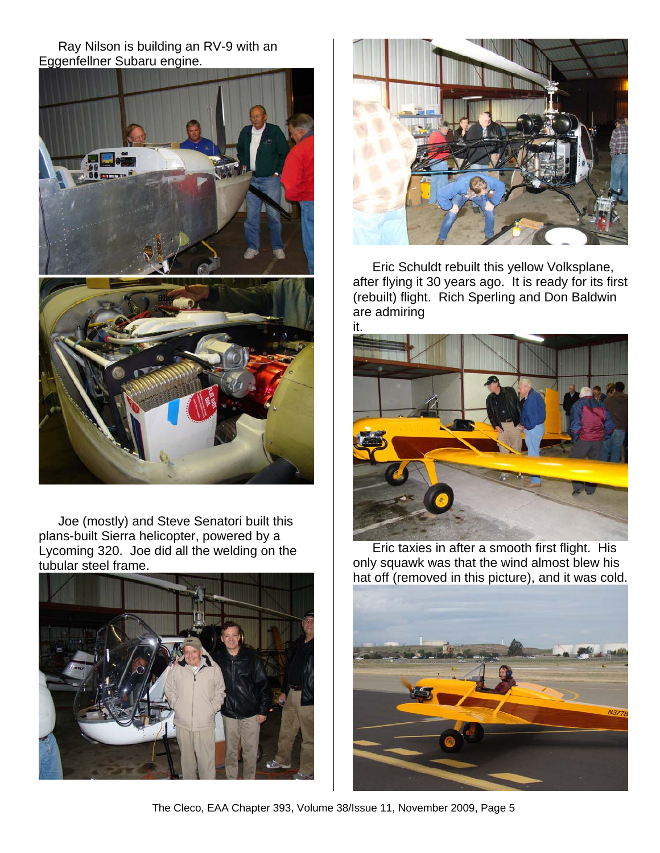#### Ray Nilson is building an RV-9 with an Eggenfellner Subaru engine.



Joe (mostly) and Steve Senatori built this plans-built Sierra helicopter, powered by a Lycoming 320. Joe did all the welding on the tubular steel frame.





Eric Schuldt rebuilt this yellow Volksplane, after flying it 30 years ago. It is ready for its first (rebuilt) flight. Rich Sperling and Don Baldwin are admiring



Eric taxies in after a smooth first flight. His only squawk was that the wind almost blew his hat off (removed in this picture), and it was cold.



The Cleco, EAA Chapter 393, Volume 38/Issue 11, November 2009, Page 5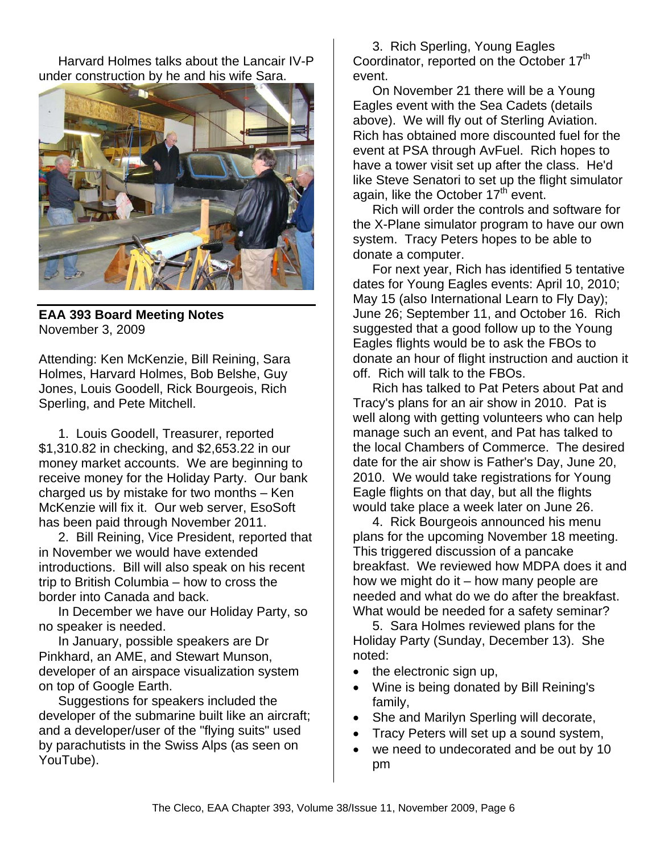Harvard Holmes talks about the Lancair IV-P under construction by he and his wife Sara.



**EAA 393 Board Meeting Notes**  November 3, 2009

Attending: Ken McKenzie, Bill Reining, Sara Holmes, Harvard Holmes, Bob Belshe, Guy Jones, Louis Goodell, Rick Bourgeois, Rich Sperling, and Pete Mitchell.

1. Louis Goodell, Treasurer, reported \$1,310.82 in checking, and \$2,653.22 in our money market accounts. We are beginning to receive money for the Holiday Party. Our bank charged us by mistake for two months – Ken McKenzie will fix it. Our web server, EsoSoft has been paid through November 2011.

2. Bill Reining, Vice President, reported that in November we would have extended introductions. Bill will also speak on his recent trip to British Columbia – how to cross the border into Canada and back.

In December we have our Holiday Party, so no speaker is needed.

In January, possible speakers are Dr Pinkhard, an AME, and Stewart Munson, developer of an airspace visualization system on top of Google Earth.

Suggestions for speakers included the developer of the submarine built like an aircraft; and a developer/user of the "flying suits" used by parachutists in the Swiss Alps (as seen on YouTube).

3. Rich Sperling, Young Eagles Coordinator, reported on the October 17<sup>th</sup> event.

On November 21 there will be a Young Eagles event with the Sea Cadets (details above). We will fly out of Sterling Aviation. Rich has obtained more discounted fuel for the event at PSA through AvFuel. Rich hopes to have a tower visit set up after the class. He'd like Steve Senatori to set up the flight simulator again, like the October  $17<sup>th</sup>$  event.

Rich will order the controls and software for the X-Plane simulator program to have our own system. Tracy Peters hopes to be able to donate a computer.

For next year, Rich has identified 5 tentative dates for Young Eagles events: April 10, 2010; May 15 (also International Learn to Fly Day); June 26; September 11, and October 16. Rich suggested that a good follow up to the Young Eagles flights would be to ask the FBOs to donate an hour of flight instruction and auction it off. Rich will talk to the FBOs.

Rich has talked to Pat Peters about Pat and Tracy's plans for an air show in 2010. Pat is well along with getting volunteers who can help manage such an event, and Pat has talked to the local Chambers of Commerce. The desired date for the air show is Father's Day, June 20, 2010. We would take registrations for Young Eagle flights on that day, but all the flights would take place a week later on June 26.

4. Rick Bourgeois announced his menu plans for the upcoming November 18 meeting. This triggered discussion of a pancake breakfast. We reviewed how MDPA does it and how we might do it – how many people are needed and what do we do after the breakfast. What would be needed for a safety seminar?

5. Sara Holmes reviewed plans for the Holiday Party (Sunday, December 13). She noted:

- the electronic sign up,
- Wine is being donated by Bill Reining's family,
- She and Marilyn Sperling will decorate,
- Tracy Peters will set up a sound system,
- we need to undecorated and be out by 10 pm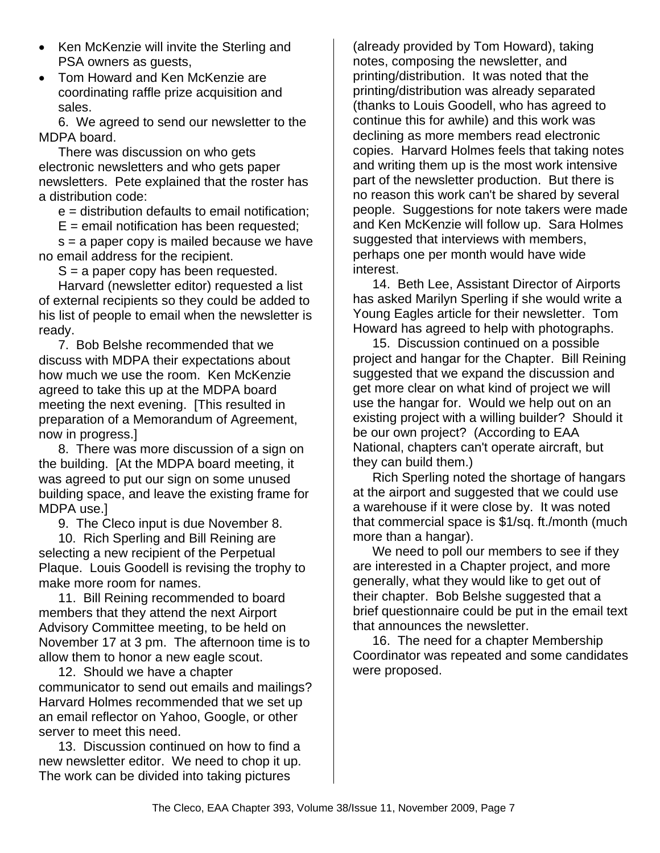- Ken McKenzie will invite the Sterling and PSA owners as guests,
- Tom Howard and Ken McKenzie are coordinating raffle prize acquisition and sales.

6. We agreed to send our newsletter to the MDPA board.

There was discussion on who gets electronic newsletters and who gets paper newsletters. Pete explained that the roster has a distribution code:

e = distribution defaults to email notification;

 $E =$  email notification has been requested:

s = a paper copy is mailed because we have no email address for the recipient.

 $S = a$  paper copy has been requested.

Harvard (newsletter editor) requested a list of external recipients so they could be added to his list of people to email when the newsletter is ready.

7. Bob Belshe recommended that we discuss with MDPA their expectations about how much we use the room. Ken McKenzie agreed to take this up at the MDPA board meeting the next evening. [This resulted in preparation of a Memorandum of Agreement, now in progress.]

8. There was more discussion of a sign on the building. [At the MDPA board meeting, it was agreed to put our sign on some unused building space, and leave the existing frame for MDPA use.]

9. The Cleco input is due November 8.

10. Rich Sperling and Bill Reining are selecting a new recipient of the Perpetual Plaque. Louis Goodell is revising the trophy to make more room for names.

11. Bill Reining recommended to board members that they attend the next Airport Advisory Committee meeting, to be held on November 17 at 3 pm. The afternoon time is to allow them to honor a new eagle scout.

12. Should we have a chapter communicator to send out emails and mailings? Harvard Holmes recommended that we set up an email reflector on Yahoo, Google, or other server to meet this need.

13. Discussion continued on how to find a new newsletter editor. We need to chop it up. The work can be divided into taking pictures

(already provided by Tom Howard), taking notes, composing the newsletter, and printing/distribution. It was noted that the printing/distribution was already separated (thanks to Louis Goodell, who has agreed to continue this for awhile) and this work was declining as more members read electronic copies. Harvard Holmes feels that taking notes and writing them up is the most work intensive part of the newsletter production. But there is no reason this work can't be shared by several people. Suggestions for note takers were made and Ken McKenzie will follow up. Sara Holmes suggested that interviews with members, perhaps one per month would have wide interest.

14. Beth Lee, Assistant Director of Airports has asked Marilyn Sperling if she would write a Young Eagles article for their newsletter. Tom Howard has agreed to help with photographs.

15. Discussion continued on a possible project and hangar for the Chapter. Bill Reining suggested that we expand the discussion and get more clear on what kind of project we will use the hangar for. Would we help out on an existing project with a willing builder? Should it be our own project? (According to EAA National, chapters can't operate aircraft, but they can build them.)

Rich Sperling noted the shortage of hangars at the airport and suggested that we could use a warehouse if it were close by. It was noted that commercial space is \$1/sq. ft./month (much more than a hangar).

We need to poll our members to see if they are interested in a Chapter project, and more generally, what they would like to get out of their chapter. Bob Belshe suggested that a brief questionnaire could be put in the email text that announces the newsletter.

16. The need for a chapter Membership Coordinator was repeated and some candidates were proposed.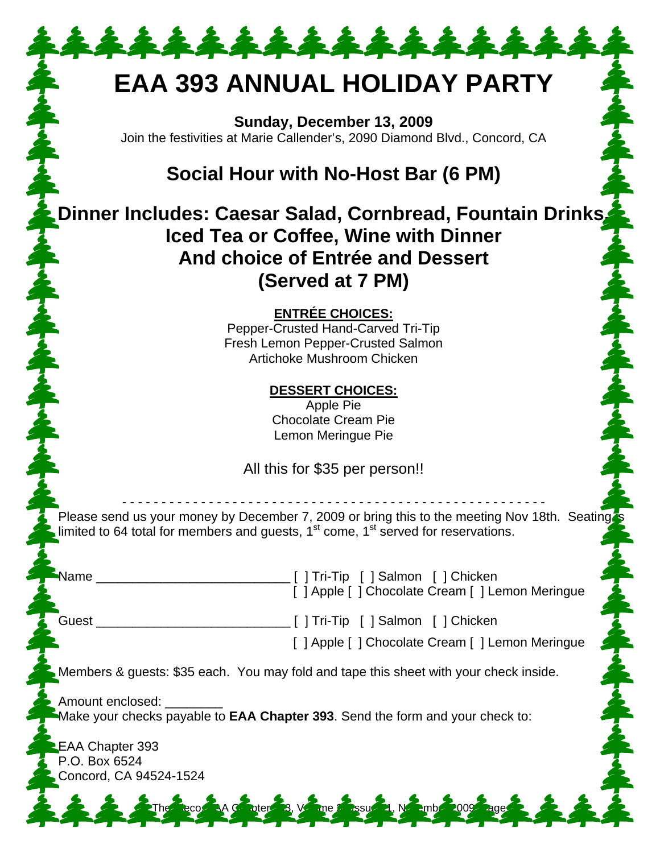# **EAA 393 ANNUAL HOLIDAY PARTY**

\*\*\*\*\*\*\*\*\*\*\*\*\*\*\*

**Sunday, December 13, 2009**  Join the festivities at Marie Callender's, 2090 Diamond Blvd., Concord, CA

## **Social Hour with No-Host Bar (6 PM)**

**Dinner Includes: Caesar Salad, Cornbread, Fountain Drinks, Iced Tea or Coffee, Wine with Dinner And choice of Entrée and Dessert (Served at 7 PM)** 

**ENTRÉE CHOICES:**

Pepper-Crusted Hand-Carved Tri-Tip Fresh Lemon Pepper-Crusted Salmon Artichoke Mushroom Chicken

> **DESSERT CHOICES:** Apple Pie Chocolate Cream Pie

Lemon Meringue Pie

All this for \$35 per person!!

- - - - - - - - - - - - - - - - - - - - - - - - - - - - - - - - - - - - - - - - - - - - - - - - - - - - - - Please send us your money by December 7, 2009 or bring this to the meeting Nov 18th. Seating limited to 64 total for members and quests,  $1<sup>st</sup>$  come,  $1<sup>st</sup>$  served for reservations.

Name \_\_\_\_\_\_\_\_\_\_\_\_\_\_\_\_\_\_\_\_\_\_\_\_\_\_\_ [ ] Tri-Tip [ ] Salmon [ ] Chicken [ ] Apple [ ] Chocolate Cream [ ] Lemon Meringue

Guest \_\_\_\_\_\_\_\_\_\_\_\_\_\_\_\_\_\_\_\_\_\_\_\_\_\_\_ [ ] Tri-Tip [ ] Salmon [ ] Chicken

[ ] Apple [ ] Chocolate Cream [ ] Lemon Meringue

Members & guests: \$35 each. You may fold and tape this sheet with your check inside.

Amount enclosed: Make your checks payable to **EAA Chapter 393**. Send the form and your check to:

The Clean Case, Volume 3

EAA Chapter 393 P.O. Box 6524 Concord, CA 94524-1524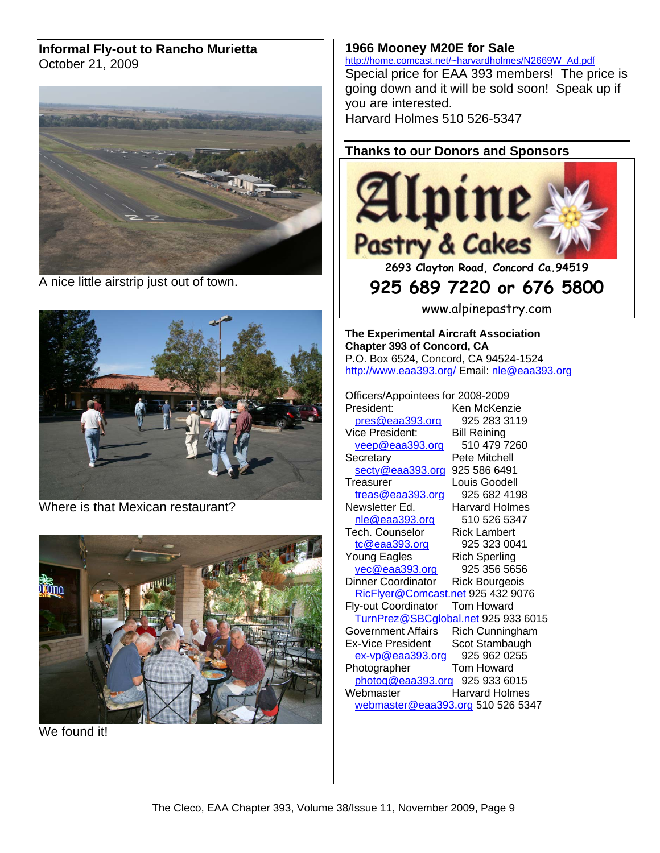#### **Informal Fly-out to Rancho Murietta** October 21, 2009



A nice little airstrip just out of town.



Where is that Mexican restaurant?



We found it!

**1966 Mooney M20E for Sale** http://home.comcast.net/~harvardholmes/N2669W\_Ad.pdf Special price for EAA 393 members! The price is going down and it will be sold soon! Speak up if you are interested.

Harvard Holmes 510 526-5347

#### **Thanks to our Donors and Sponsors**



**2693 Clayton Road, Concord Ca.94519** 

### **925 689 7220 or 676 5800**

www.alpinepastry.com

**The Experimental Aircraft Association Chapter 393 of Concord, CA**  P.O. Box 6524, Concord, CA 94524-1524 http://www.eaa393.org/ Email: nle@eaa393.org

Officers/Appointees for 2008-2009

Ken McKenzie pres@eaa393.org 925 283 3119 Vice President: Bill Reining veep@eaa393.org 510 479 7260 Secretary Pete Mitchell secty@eaa393.org 925 586 6491 Treasurer Louis Goodell treas@eaa393.org 925 682 4198 Newsletter Ed. Harvard Holmes nle@eaa393.org 510 526 5347 Tech. Counselor Rick Lambert tc@eaa393.org 925 323 0041 Young Eagles Rich Sperling yec@eaa393.org 925 356 5656 Dinner Coordinator Rick Bourgeois RicFlyer@Comcast.net 925 432 9076 Fly-out Coordinator Tom Howard TurnPrez@SBCglobal.net 925 933 6015 Government Affairs Rich Cunningham Ex-Vice President Scot Stambaugh ex-vp@eaa393.org 925 962 0255 Photographer Tom Howard photog@eaa393.org 925 933 6015 Webmaster **Harvard Holmes** webmaster@eaa393.org 510 526 5347